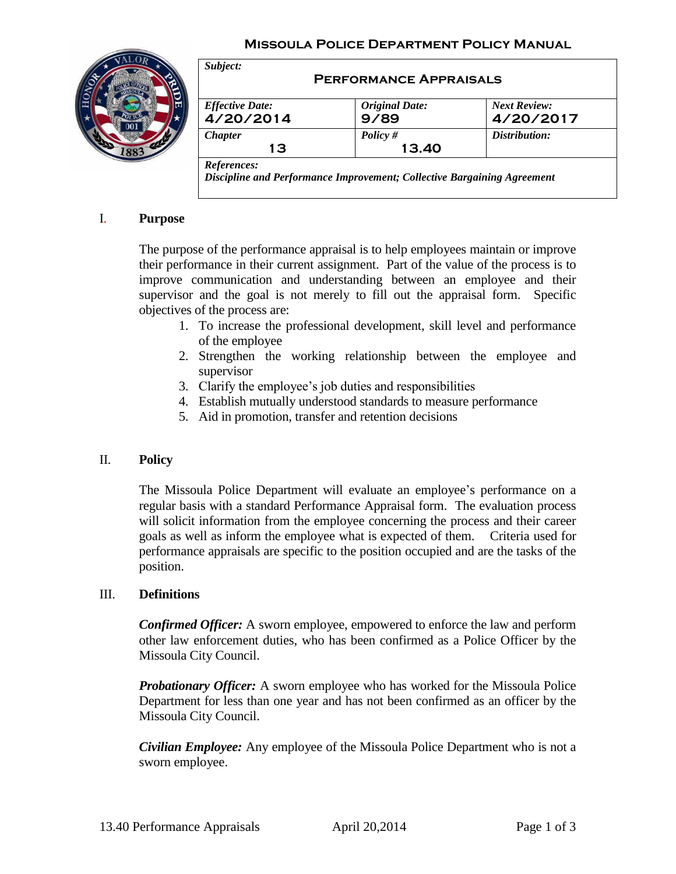### **Missoula Police Department Policy Manual**



| <b>Effective Date:</b> | <b>Original Date:</b> | <b>Next Review:</b> |
|------------------------|-----------------------|---------------------|
| 4/20/2014              | 9/89                  | 4/20/2017           |
| <b>Chapter</b>         | Policy $#$            | Distribution:       |
| 13                     | 13.40                 |                     |

# I. **Purpose**

The purpose of the performance appraisal is to help employees maintain or improve their performance in their current assignment. Part of the value of the process is to improve communication and understanding between an employee and their supervisor and the goal is not merely to fill out the appraisal form. Specific objectives of the process are:

- 1. To increase the professional development, skill level and performance of the employee
- 2. Strengthen the working relationship between the employee and supervisor
- 3. Clarify the employee's job duties and responsibilities
- 4. Establish mutually understood standards to measure performance
- 5. Aid in promotion, transfer and retention decisions

#### II. **Policy**

The Missoula Police Department will evaluate an employee's performance on a regular basis with a standard Performance Appraisal form. The evaluation process will solicit information from the employee concerning the process and their career goals as well as inform the employee what is expected of them. Criteria used for performance appraisals are specific to the position occupied and are the tasks of the position.

#### III. **Definitions**

*Confirmed Officer:* A sworn employee, empowered to enforce the law and perform other law enforcement duties, who has been confirmed as a Police Officer by the Missoula City Council.

*Probationary Officer:* A sworn employee who has worked for the Missoula Police Department for less than one year and has not been confirmed as an officer by the Missoula City Council.

*Civilian Employee:* Any employee of the Missoula Police Department who is not a sworn employee.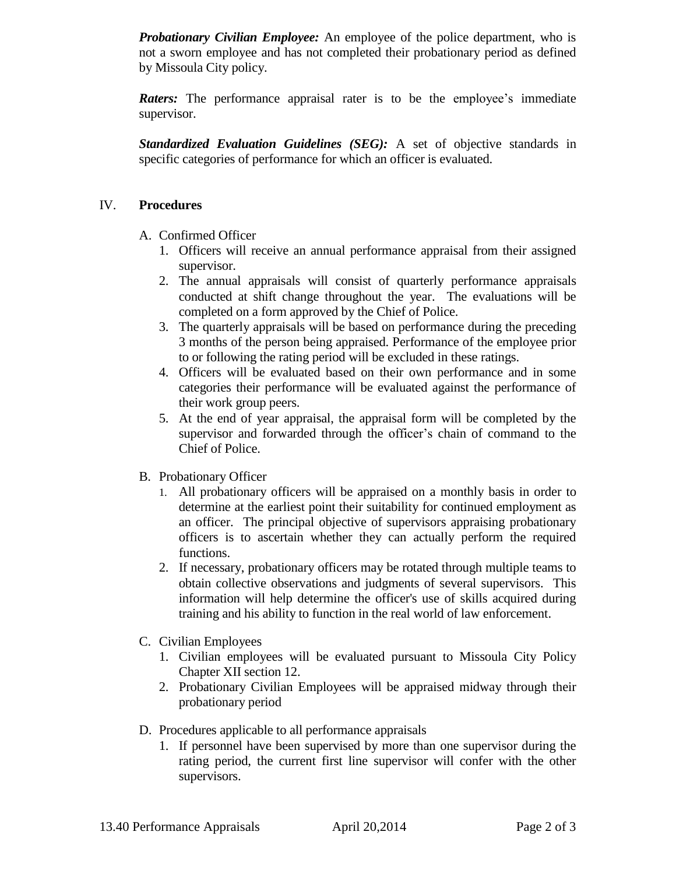*Probationary Civilian Employee:* An employee of the police department, who is not a sworn employee and has not completed their probationary period as defined by Missoula City policy.

*Raters:* The performance appraisal rater is to be the employee's immediate supervisor.

**Standardized Evaluation Guidelines (SEG):** A set of objective standards in specific categories of performance for which an officer is evaluated.

# IV. **Procedures**

- A. Confirmed Officer
	- 1. Officers will receive an annual performance appraisal from their assigned supervisor.
	- 2. The annual appraisals will consist of quarterly performance appraisals conducted at shift change throughout the year. The evaluations will be completed on a form approved by the Chief of Police.
	- 3. The quarterly appraisals will be based on performance during the preceding 3 months of the person being appraised. Performance of the employee prior to or following the rating period will be excluded in these ratings.
	- 4. Officers will be evaluated based on their own performance and in some categories their performance will be evaluated against the performance of their work group peers.
	- 5. At the end of year appraisal, the appraisal form will be completed by the supervisor and forwarded through the officer's chain of command to the Chief of Police.
- B. Probationary Officer
	- 1. All probationary officers will be appraised on a monthly basis in order to determine at the earliest point their suitability for continued employment as an officer. The principal objective of supervisors appraising probationary officers is to ascertain whether they can actually perform the required functions.
	- 2. If necessary, probationary officers may be rotated through multiple teams to obtain collective observations and judgments of several supervisors. This information will help determine the officer's use of skills acquired during training and his ability to function in the real world of law enforcement.
- C. Civilian Employees
	- 1. Civilian employees will be evaluated pursuant to Missoula City Policy Chapter XII section 12.
	- 2. Probationary Civilian Employees will be appraised midway through their probationary period
- D. Procedures applicable to all performance appraisals
	- 1. If personnel have been supervised by more than one supervisor during the rating period, the current first line supervisor will confer with the other supervisors.